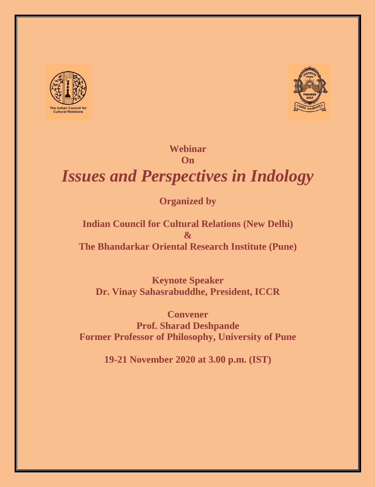



## **Webinar On**

# *Issues and Perspectives in Indology*

# **Organized by**

# **Indian Council for Cultural Relations (New Delhi) & The Bhandarkar Oriental Research Institute (Pune)**

**Keynote Speaker Dr. Vinay Sahasrabuddhe, President, ICCR**

**Convener Prof. Sharad Deshpande Former Professor of Philosophy, University of Pune**

**19-21 November 2020 at 3.00 p.m. (IST)**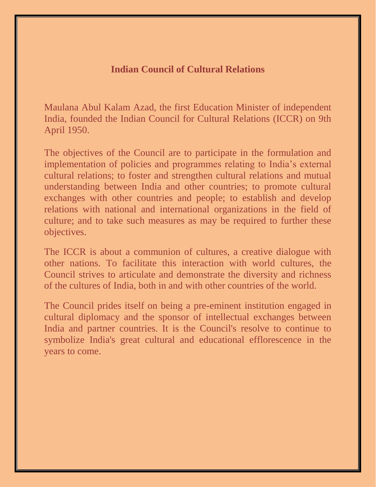# **Indian Council of Cultural Relations**

Maulana Abul Kalam Azad, the first Education Minister of independent India, founded the Indian Council for Cultural Relations (ICCR) on 9th April 1950.

The objectives of the Council are to participate in the formulation and implementation of policies and programmes relating to India's external cultural relations; to foster and strengthen cultural relations and mutual understanding between India and other countries; to promote cultural exchanges with other countries and people; to establish and develop relations with national and international organizations in the field of culture; and to take such measures as may be required to further these objectives.

The ICCR is about a communion of cultures, a creative dialogue with other nations. To facilitate this interaction with world cultures, the Council strives to articulate and demonstrate the diversity and richness of the cultures of India, both in and with other countries of the world.

The Council prides itself on being a pre-eminent institution engaged in cultural diplomacy and the sponsor of intellectual exchanges between India and partner countries. It is the Council's resolve to continue to symbolize India's great cultural and educational efflorescence in the years to come.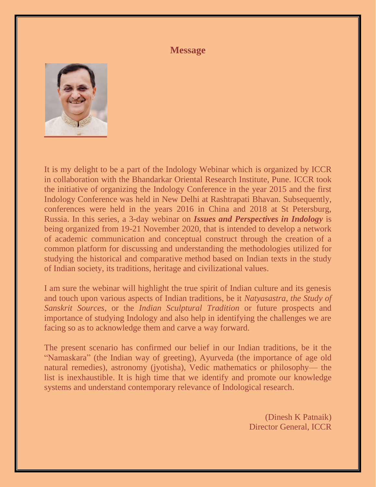### **Message**



It is my delight to be a part of the Indology Webinar which is organized by ICCR in collaboration with the Bhandarkar Oriental Research Institute, Pune. ICCR took the initiative of organizing the Indology Conference in the year 2015 and the first Indology Conference was held in New Delhi at Rashtrapati Bhavan. Subsequently, conferences were held in the years 2016 in China and 2018 at St Petersburg, Russia. In this series, a 3-day webinar on *Issues and Perspectives in Indology* is being organized from 19-21 November 2020, that is intended to develop a network of academic communication and conceptual construct through the creation of a common platform for discussing and understanding the methodologies utilized for studying the historical and comparative method based on Indian texts in the study of Indian society, its traditions, heritage and civilizational values.

I am sure the webinar will highlight the true spirit of Indian culture and its genesis and touch upon various aspects of Indian traditions, be it *Natyasastra*, *the Study of Sanskrit Sources*, or the *Indian Sculptural Tradition* or future prospects and importance of studying Indology and also help in identifying the challenges we are facing so as to acknowledge them and carve a way forward.

The present scenario has confirmed our belief in our Indian traditions, be it the "Namaskara" (the Indian way of greeting), Ayurveda (the importance of age old natural remedies), astronomy (jyotisha), Vedic mathematics or philosophy— the list is inexhaustible. It is high time that we identify and promote our knowledge systems and understand contemporary relevance of Indological research.

> (Dinesh K Patnaik) Director General, ICCR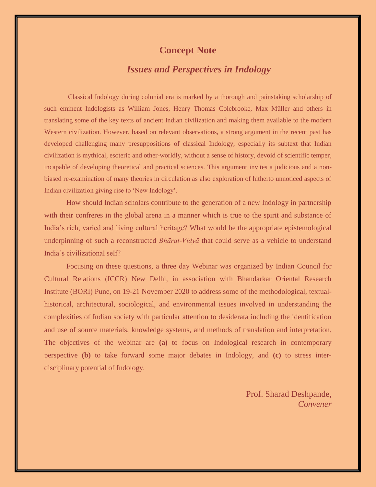### **Concept Note**

# *Issues and Perspectives in Indology*

Classical Indology during colonial era is marked by a thorough and painstaking scholarship of such eminent Indologists as William Jones, Henry Thomas Colebrooke, Max Müller and others in translating some of the key texts of ancient Indian civilization and making them available to the modern Western civilization. However, based on relevant observations, a strong argument in the recent past has developed challenging many presuppositions of classical Indology, especially its subtext that Indian civilization is mythical, esoteric and other-worldly, without a sense of history, devoid of scientific temper, incapable of developing theoretical and practical sciences. This argument invites a judicious and a nonbiased re-examination of many theories in circulation as also exploration of hitherto unnoticed aspects of Indian civilization giving rise to 'New Indology'.

How should Indian scholars contribute to the generation of a new Indology in partnership with their confreres in the global arena in a manner which is true to the spirit and substance of India's rich, varied and living cultural heritage? What would be the appropriate epistemological underpinning of such a reconstructed *Bhārat-Vidyā* that could serve as a vehicle to understand India's civilizational self?

Focusing on these questions, a three day Webinar was organized by Indian Council for Cultural Relations (ICCR) New Delhi, in association with Bhandarkar Oriental Research Institute (BORI) Pune, on 19-21 November 2020 to address some of the methodological, textualhistorical, architectural, sociological, and environmental issues involved in understanding the complexities of Indian society with particular attention to desiderata including the identification and use of source materials, knowledge systems, and methods of translation and interpretation. The objectives of the webinar are **(a)** to focus on Indological research in contemporary perspective **(b)** to take forward some major debates in Indology, and **(c)** to stress interdisciplinary potential of Indology.

> Prof. Sharad Deshpande, *Convener*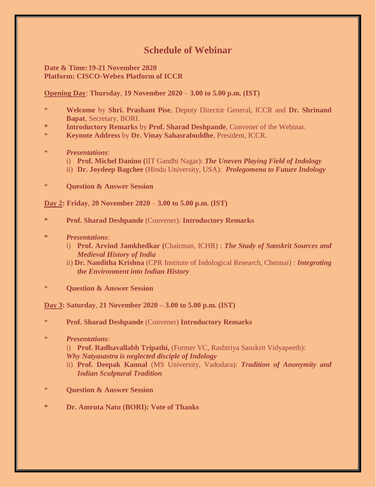# **Schedule of Webinar**

#### **Date & Time:19-21 November 2020 Platform: CISCO-Webex Platform of ICCR**

#### **Opening Day**: **Thursday**, **19 November 2020** – **3.00 to 5.00 p.m. (IST)**

- \* **Welcome** by **Shri. Prashant Pise**, Deputy Director General, ICCR and **Dr. Shrinand Bapat**, Secretary, BORI.
- **\* Introductory Remarks** by **Prof. Sharad Deshpande**, Convener of the Webinar.
- \* **Keynote Address** by **Dr. Vinay Sahasrabuddhe**, President, ICCR.
- \* *Presentations*:
	- i) **Prof. Michel Danino (**IIT Gandhi Nagar): *The Uneven Playing Field of Indology*
	- ii) **Dr. Joydeep Bagchee** (Hindu University, USA): *Prolegomena to Future Indology*
- **Question & Answer Session**

**Day 2: Friday**, **20 November 2020** – **3.00 to 5.00 p.m. (IST)**

- **\* Prof. Sharad Deshpande** (Convener): **Introductory Remarks**
- **\*** *Presentations*:
	- i) **Prof. Arvind Jamkhedkar (**Chairman, ICHR) : *The Study of Sanskrit Sources and Medieval History of India*
	- ii) **Dr. Nanditha Krishna** (CPR Institute of Indological Research, Chennai) : *Integrating the Environment into Indian History*
- **Question & Answer Session**

**Day 3: Saturday**, **21 November 2020 – 3.00 to 5.00 p.m. (IST)**

- \* **Prof. Sharad Deshpande** (Convener) **Introductory Remarks**
- \* *Presentations*:
	- i) **Prof. Radhavallabh Tripathi,** (Former VC, Rashtriya Sanskrit Vidyapeeth): *Why Natyasastra is neglected disciple of Indology*
	- ii) **Prof. Deepak Kannal** (MS University, Vadodara): *Tradition of Anonymity and Indian Sculptural Tradition*
- \* **Question & Answer Session**
- **\* Dr. Amruta Natu (BORI): Vote of Thanks**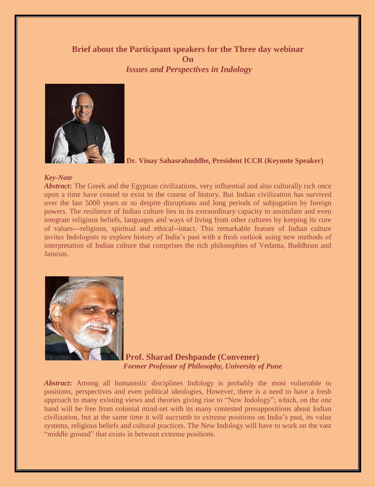### **Brief about the Participant speakers for the Three day webinar On** *Issues and Perspectives in Indology*



**Dr. Vinay Sahasrabuddhe, President ICCR (Keynote Speaker)**

#### *Key-Note*

*Abstract***:** The Greek and the Egyptian civilizations, very influential and also culturally rich once upon a time have ceased to exist in the course of history. But Indian civilization has survived over the last 5000 years or so despite disruptions and long periods of subjugation by foreign powers. The resilience of Indian culture lies in its extraordinary capacity to assimilate and even integrate religious beliefs, languages and ways of living from other cultures by keeping its core of values---religious, spiritual and ethical--intact. This remarkable feature of Indian culture invites Indologists to explore history of India's past with a fresh outlook using new methods of interpretation of Indian culture that comprises the rich philosophies of Vedanta, Buddhism and Jainism.



**Prof. Sharad Deshpande (Convener)** *Former Professor of Philosophy, University of Pune*

*Abstract***:** Among all humanistic disciplines Indology is probably the most vulnerable to positions, perspectives and even political ideologies, However, there is a need to have a fresh approach to many existing views and theories giving rise to "New Indology"; which, on the one hand will be free from colonial mind-set with its many contested presuppositions about Indian civilization, but at the same time it will succumb to extreme positions on India's past, its value systems, religious beliefs and cultural practices. The New Indology will have to work on the vast "middle ground" that exists in between extreme positions.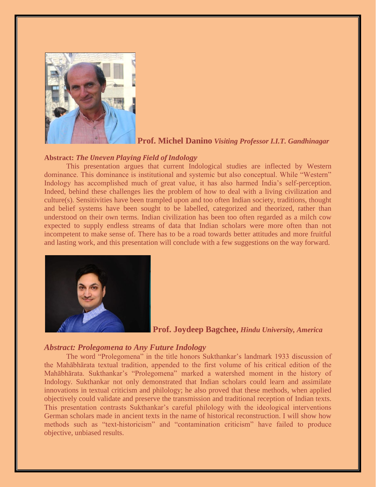

#### **Prof. Michel Danino** *Visiting Professor I.I.T. Gandhinagar*

#### **Abstract:** *The Uneven Playing Field of Indology*

This presentation argues that current Indological studies are inflected by Western dominance. This dominance is institutional and systemic but also conceptual. While "Western" Indology has accomplished much of great value, it has also harmed India's self-perception. Indeed, behind these challenges lies the problem of how to deal with a living civilization and culture(s). Sensitivities have been trampled upon and too often Indian society, traditions, thought and belief systems have been sought to be labelled, categorized and theorized, rather than understood on their own terms. Indian civilization has been too often regarded as a milch cow expected to supply endless streams of data that Indian scholars were more often than not incompetent to make sense of. There has to be a road towards better attitudes and more fruitful and lasting work, and this presentation will conclude with a few suggestions on the way forward.



#### **Prof. Joydeep Bagchee,** *Hindu University, America*

#### *Abstract: Prolegomena to Any Future Indology*

The word "Prolegomena" in the title honors Sukthankar's landmark 1933 discussion of the Mahābhārata textual tradition, appended to the first volume of his critical edition of the Mahābhārata. Sukthankar's "Prolegomena" marked a watershed moment in the history of Indology. Sukthankar not only demonstrated that Indian scholars could learn and assimilate innovations in textual criticism and philology; he also proved that these methods, when applied objectively could validate and preserve the transmission and traditional reception of Indian texts. This presentation contrasts Sukthankar's careful philology with the ideological interventions German scholars made in ancient texts in the name of historical reconstruction. I will show how methods such as "text-historicism" and "contamination criticism" have failed to produce objective, unbiased results.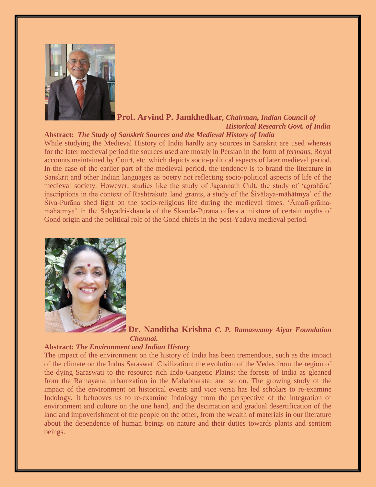

#### **Prof. Arvind P. Jamkhedkar***, Chairman, Indian Council of Historical Research Govt. of India*

#### **Abstract:** *The Study of Sanskrit Sources and the Medieval History of India*

While studying the Medieval History of India hardly any sources in Sanskrit are used whereas for the later medieval period the sources used are mostly in Persian in the form of *fermans*, Royal accounts maintained by Court, etc. which depicts socio-political aspects of later medieval period. In the case of the earlier part of the medieval period, the tendency is to brand the literature in Sanskrit and other Indian languages as poetry not reflecting socio-political aspects of life of the medieval society. However, studies like the study of Jagannath Cult, the study of 'agrahāra' inscriptions in the context of Rashtrakuta land grants, a study of the Śivālaya-māhātmya' of the Śiva-Purāna shed light on the socio-religious life during the medieval times. 'Āmalī-grāmamāhātmya' in the Sahyādri-khanda of the Skanda-Purāna offers a mixture of certain myths of Gond origin and the political role of the Gond chiefs in the post-Yadava medieval period.



**Dr. Nanditha Krishna** *C. P. Ramaswamy Aiyar Foundation Chennai.* 

#### **Abstract:** *The Environment and Indian History*

The impact of the environment on the history of India has been tremendous, such as the impact of the climate on the Indus Saraswati Civilization; the evolution of the Vedas from the region of the dying Saraswati to the resource rich Indo-Gangetic Plains; the forests of India as gleaned from the Ramayana; urbanization in the Mahabharata; and so on. The growing study of the impact of the environment on historical events and vice versa has led scholars to re-examine Indology. It behooves us to re-examine Indology from the perspective of the integration of environment and culture on the one hand, and the decimation and gradual desertification of the land and impoverishment of the people on the other, from the wealth of materials in our literature about the dependence of human beings on nature and their duties towards plants and sentient beings.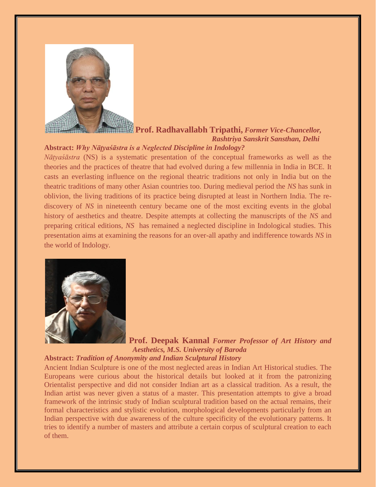

# **Prof. Radhavallabh Tripathi,** *Former Vice-Chancellor, Rashtriya Sanskrit Sansthan, Delhi*

#### **Abstract:** *Why Nāṭyaśāstra is a Neglected Discipline in Indology?*

*Nāṭyaśāstra* (NS) is a systematic presentation of the conceptual frameworks as well as the theories and the practices of theatre that had evolved during a few millennia in India in BCE. It casts an everlasting influence on the regional theatric traditions not only in India but on the theatric traditions of many other Asian countries too. During medieval period the *NS* has sunk in oblivion, the living traditions of its practice being disrupted at least in Northern India. The rediscovery of *NS* in nineteenth century became one of the most exciting events in the global history of aesthetics and theatre. Despite attempts at collecting the manuscripts of the *NS* and preparing critical editions, *NS* has remained a neglected discipline in Indological studies. This presentation aims at examining the reasons for an over-all apathy and indifference towards *NS* in the world of Indology.



**Prof. Deepak Kannal** *Former Professor of Art History and Aesthetics, M.S. University of Baroda* 

#### **Abstract:** *Tradition of Anonymity and Indian Sculptural History*

Ancient Indian Sculpture is one of the most neglected areas in Indian Art Historical studies. The Europeans were curious about the historical details but looked at it from the patronizing Orientalist perspective and did not consider Indian art as a classical tradition. As a result, the Indian artist was never given a status of a master. This presentation attempts to give a broad framework of the intrinsic study of Indian sculptural tradition based on the actual remains, their formal characteristics and stylistic evolution, morphological developments particularly from an Indian perspective with due awareness of the culture specificity of the evolutionary patterns. It tries to identify a number of masters and attribute a certain corpus of sculptural creation to each of them.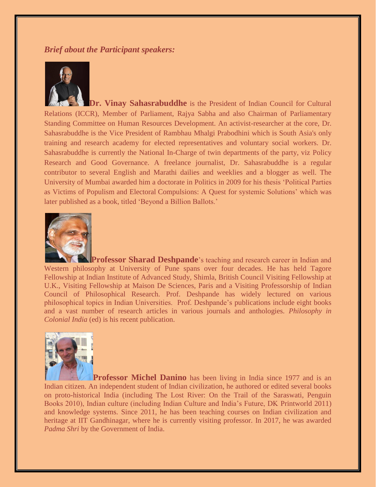#### *Brief about the Participant speakers:*



**Dr. Vinay Sahasrabuddhe** is the President of Indian Council for Cultural Relations (ICCR), Member of Parliament, Rajya Sabha and also Chairman of Parliamentary Standing Committee on Human Resources Development. An activist-researcher at the core, Dr. Sahasrabuddhe is the Vice President of Rambhau Mhalgi Prabodhini which is South Asia's only training and research academy for elected representatives and voluntary social workers. Dr. Sahasrabuddhe is currently the National In-Charge of twin departments of the party, viz Policy Research and Good Governance. A freelance journalist, Dr. Sahasrabuddhe is a regular contributor to several English and Marathi dailies and weeklies and a blogger as well. The University of Mumbai awarded him a doctorate in Politics in 2009 for his thesis 'Political Parties as Victims of Populism and Electoral Compulsions: A Quest for systemic Solutions' which was later published as a book, titled 'Beyond a Billion Ballots.'



**Professor Sharad Deshpande**'s teaching and research career in Indian and Western philosophy at University of Pune spans over four decades. He has held Tagore Fellowship at Indian Institute of Advanced Study, Shimla, British Council Visiting Fellowship at U.K., Visiting Fellowship at Maison De Sciences, Paris and a Visiting Professorship of Indian Council of Philosophical Research. Prof. Deshpande has widely lectured on various philosophical topics in Indian Universities. Prof. Deshpande's publications include eight books and a vast number of research articles in various journals and anthologies. *Philosophy in Colonial India* (ed) is his recent publication.



**Professor Michel Danino** has been living in India since 1977 and is an Indian citizen. An independent student of Indian civilization, he authored or edited several books on proto-historical India (including The Lost River: On the Trail of the Saraswati, Penguin Books 2010), Indian culture (including Indian Culture and India's Future, DK Printworld 2011) and knowledge systems. Since 2011, he has been teaching courses on Indian civilization and heritage at IIT Gandhinagar, where he is currently visiting professor. In 2017, he was awarded *Padma Shri* by the Government of India.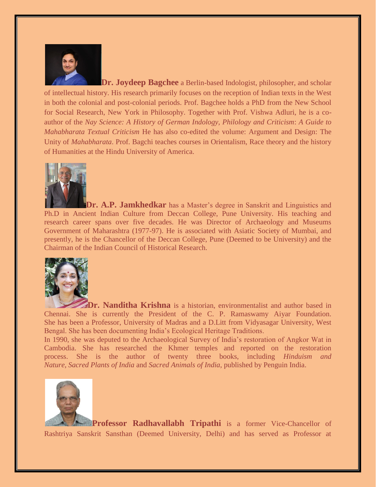

**Dr. Joydeep Bagchee** a Berlin-based Indologist, philosopher, and scholar of intellectual history. His research primarily focuses on the reception of Indian texts in the West in both the colonial and post-colonial periods. Prof. Bagchee holds a PhD from the New School for Social Research, New York in Philosophy. Together with Prof. Vishwa Adluri, he is a coauthor of the *Nay Science: A History of German Indology, Philology and Criticism*: *A Guide to Mahabharata Textual Criticism* He has also co-edited the volume: Argument and Design: The Unity of *Mahabharata*. Prof. Bagchi teaches courses in Orientalism, Race theory and the history of Humanities at the Hindu University of America.



**Dr. A.P. Jamkhedkar** has a Master's degree in Sanskrit and Linguistics and Ph.D in Ancient Indian Culture from Deccan College, Pune University. His teaching and research career spans over five decades. He was Director of Archaeology and Museums Government of Maharashtra (1977-97). He is associated with Asiatic Society of Mumbai, and presently, he is the Chancellor of the Deccan College, Pune (Deemed to be University) and the Chairman of the Indian Council of Historical Research.



**Dr. Nanditha Krishna** is a historian, environmentalist and author based in Chennai. She is currently the President of the C. P. Ramaswamy Aiyar Foundation. She has been a Professor, University of Madras and a D.Litt from Vidyasagar University, West Bengal. She has been documenting India's Ecological Heritage Traditions.

In 1990, she was deputed to the Archaeological Survey of India's restoration of Angkor Wat in Cambodia. She has researched the Khmer temples and reported on the restoration process. She is the author of twenty three books, including *Hinduism and Nature*, *Sacred Plants of India* and *Sacred Animals of India*, published by Penguin India.



Professor Radhavallabh Tripathi is a former Vice-Chancellor of Rashtriya Sanskrit Sansthan (Deemed University, Delhi) and has served as Professor at